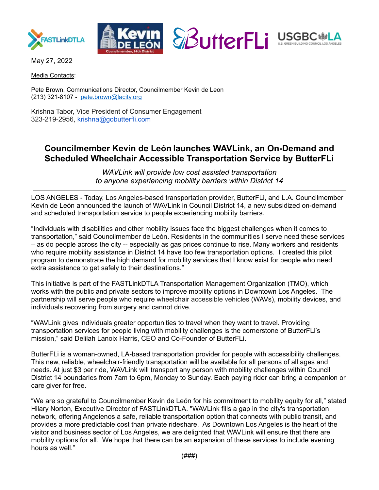



May 27, 2022

Media Contacts:

Pete Brown, Communications Director, Councilmember Kevin de Leon (213) 321-8107 - [pete.brown@lacity.org](mailto:pete.brown@lacity.org)

Krishna Tabor, Vice President of Consumer Engagement 323-219-2956, krishna@gobutterfli.com

# **Councilmember Kevin de León launches WAVLink, an On-Demand and Scheduled Wheelchair Accessible Transportation Service by ButterFLi**

*WAVLink will provide low cost assisted transportation to anyone experiencing mobility barriers within District 14*

LOS ANGELES - Today, Los Angeles-based transportation provider, ButterFLi, and L.A. Councilmember Kevin de León announced the launch of WAVLink in Council District 14, a new subsidized on-demand and scheduled transportation service to people experiencing mobility barriers.

"Individuals with disabilities and other mobility issues face the biggest challenges when it comes to transportation," said Councilmember de León. Residents in the communities I serve need these services – as do people across the city -- especially as gas prices continue to rise. Many workers and residents who require mobility assistance in District 14 have too few transportation options. I created this pilot program to demonstrate the high demand for mobility services that I know exist for people who need extra assistance to get safely to their destinations."

This initiative is part of the FASTLinkDTLA Transportation Management Organization (TMO), which works with the public and private sectors to improve mobility options in Downtown Los Angeles. The partnership will serve people who require wheelchair accessible vehicles (WAVs), mobility devices, and individuals recovering from surgery and cannot drive.

"WAVLink gives individuals greater opportunities to travel when they want to travel. Providing transportation services for people living with mobility challenges is the cornerstone of ButterFLi's mission," said Delilah Lanoix Harris, CEO and Co-Founder of ButterFLi.

ButterFLi is a woman-owned, LA-based transportation provider for people with accessibility challenges. This new, reliable, wheelchair-friendly transportation will be available for all persons of all ages and needs. At just \$3 per ride, WAVLink will transport any person with mobility challenges within Council District 14 boundaries from 7am to 6pm, Monday to Sunday. Each paying rider can bring a companion or care giver for free.

"We are so grateful to Councilmember Kevin de León for his commitment to mobility equity for all," stated Hilary Norton, Executive Director of FASTLinkDTLA. "WAVLink fills a gap in the city's transportation network, offering Angelenos a safe, reliable transportation option that connects with public transit, and provides a more predictable cost than private rideshare. As Downtown Los Angeles is the heart of the visitor and business sector of Los Angeles, we are delighted that WAVLink will ensure that there are mobility options for all. We hope that there can be an expansion of these services to include evening hours as well."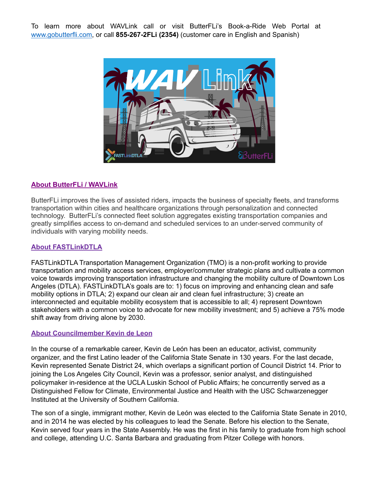To learn more about WAVLink call or visit ButterFLi's Book-a-Ride Web Portal at [www.gobutterfli.com,](http://www.gobutterfli.com) or call **855-267-2FLi (2354)** (customer care in English and Spanish)



## **About ButterFLi / WAVLink**

ButterFLi improves the lives of assisted riders, impacts the business of specialty fleets, and transforms transportation within cities and healthcare organizations through personalization and connected technology. ButterFLi's connected fleet solution aggregates existing transportation companies and greatly simplifies access to on-demand and scheduled services to an under-served community of individuals with varying mobility needs.

## **About FASTLinkDTLA**

FASTLinkDTLA Transportation Management Organization (TMO) is a non-profit working to provide transportation and mobility access services, employer/commuter strategic plans and cultivate a common voice towards improving transportation infrastructure and changing the mobility culture of Downtown Los Angeles (DTLA). FASTLinkDTLA's goals are to: 1) focus on improving and enhancing clean and safe mobility options in DTLA; 2) expand our clean air and clean fuel infrastructure; 3) create an interconnected and equitable mobility ecosystem that is accessible to all; 4) represent Downtown stakeholders with a common voice to advocate for new mobility investment; and 5) achieve a 75% mode shift away from driving alone by 2030.

## **About Councilmember Kevin de Leon**

In the course of a remarkable career, Kevin de León has been an educator, activist, community organizer, and the first Latino leader of the California State Senate in 130 years. For the last decade, Kevin represented Senate District 24, which overlaps a significant portion of Council District 14. Prior to joining the Los Angeles City Council, Kevin was a professor, senior analyst, and distinguished policymaker in-residence at the UCLA Luskin School of Public Affairs; he concurrently served as a Distinguished Fellow for Climate, Environmental Justice and Health with the USC Schwarzenegger Instituted at the University of Southern California.

The son of a single, immigrant mother, Kevin de León was elected to the California State Senate in 2010, and in 2014 he was elected by his colleagues to lead the Senate. Before his election to the Senate, Kevin served four years in the State Assembly. He was the first in his family to graduate from high school and college, attending U.C. Santa Barbara and graduating from Pitzer College with honors.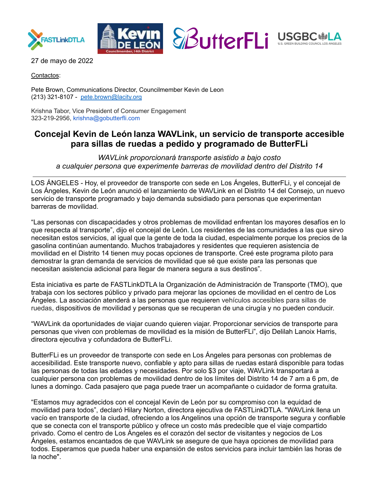

27 de mayo de 2022

Contactos:

Pete Brown, Communications Director, Councilmember Kevin de Leon (213) 321-8107 - [pete.brown@lacity.org](mailto:pete.brown@lacity.org)

Krishna Tabor, Vice President of Consumer Engagement 323-219-2956, krishna@gobutterfli.com

# **Concejal Kevin de León lanza WAVLink, un servicio de transporte accesible para sillas de ruedas a pedido y programado de ButterFLi**

*WAVLink proporcionará transporte asistido a bajo costo a cualquier persona que experimente barreras de movilidad dentro del Distrito 14*

LOS ÁNGELES - Hoy, el proveedor de transporte con sede en Los Ángeles, ButterFLi, y el concejal de Los Ángeles, Kevin de León anunció el lanzamiento de WAVLink en el Distrito 14 del Consejo, un nuevo servicio de transporte programado y bajo demanda subsidiado para personas que experimentan barreras de movilidad.

"Las personas con discapacidades y otros problemas de movilidad enfrentan los mayores desafíos en lo que respecta al transporte", dijo el concejal de León. Los residentes de las comunidades a las que sirvo necesitan estos servicios, al igual que la gente de toda la ciudad, especialmente porque los precios de la gasolina continúan aumentando. Muchos trabajadores y residentes que requieren asistencia de movilidad en el Distrito 14 tienen muy pocas opciones de transporte. Creé este programa piloto para demostrar la gran demanda de servicios de movilidad que sé que existe para las personas que necesitan asistencia adicional para llegar de manera segura a sus destinos".

Esta iniciativa es parte de FASTLinkDTLA la Organización de Administración de Transporte (TMO), que trabaja con los sectores público y privado para mejorar las opciones de movilidad en el centro de Los Ángeles. La asociación atenderá a las personas que requieren vehículos accesibles para sillas de ruedas, dispositivos de movilidad y personas que se recuperan de una cirugía y no pueden conducir.

"WAVLink da oportunidades de viajar cuando quieren viajar. Proporcionar servicios de transporte para personas que viven con problemas de movilidad es la misión de ButterFLi", dijo Delilah Lanoix Harris, directora ejecutiva y cofundadora de ButterFLi.

ButterFLi es un proveedor de transporte con sede en Los Ángeles para personas con problemas de accesibilidad. Este transporte nuevo, confiable y apto para sillas de ruedas estará disponible para todas las personas de todas las edades y necesidades. Por solo \$3 por viaje, WAVLink transportará a cualquier persona con problemas de movilidad dentro de los límites del Distrito 14 de 7 am a 6 pm, de lunes a domingo. Cada pasajero que paga puede traer un acompañante o cuidador de forma gratuita.

"Estamos muy agradecidos con el concejal Kevin de León por su compromiso con la equidad de movilidad para todos", declaró Hilary Norton, directora ejecutiva de FASTLinkDTLA. "WAVLink llena un vacío en transporte de la ciudad, ofreciendo a los Angelinos una opción de transporte segura y confiable que se conecta con el transporte público y ofrece un costo más predecible que el viaje compartido privado. Como el centro de Los Ángeles es el corazón del sector de visitantes y negocios de Los Ángeles, estamos encantados de que WAVLink se asegure de que haya opciones de movilidad para todos. Esperamos que pueda haber una expansión de estos servicios para incluir también las horas de la noche".